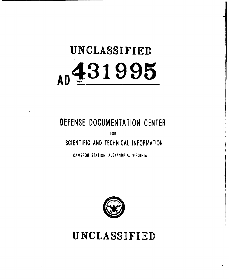# **UNCLASSIFIED AD4 3 1 9 9 5**

# **DEFENSE DOCUMENTATION CENTER**

FOR

**SCIENTIFIC AND TECHNICAL INFORMATION**

**CAMERON STATION.** ALEXANDRIA, VIRGINIA



**UNCLASSIFIED**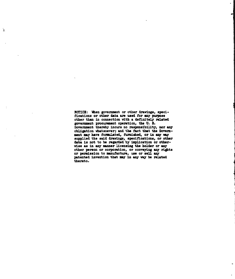**NOTICZ:** When govezment **or** other drawings, specifications or other data **ane** used **for** any purose other than in connection Vith **a** definitely related goverment procuzuent operation, the **U. B.** Government thereby incurs no responsibility, nor any obligation whatsoeverj and the fact that **the Govern.** ment may have formulated, furnished, or in any way supplied the said drawings, specifications, or other data **i.** not to **be** regarded **by** implication or othervise **as** in any manner licensing the holder or any other person or corporation, or conveying any rights **or** pernistion to manufacture, use or **sell** any patented invention that **may** in any **way be** related thereto.

'n.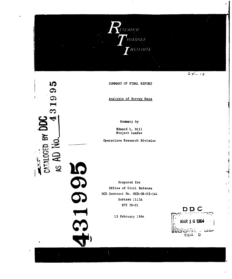

 $64 - 10$ 

SUMMARY OF FINAL REPORT

Analysis **of** Survey Data

Summary by

Edward L. Hill Project Leader

**C)** operations Research Division

CATALOGED BY DDC

 $\overline{\phantom{0}}$ 

**IQ**  $\boldsymbol{\sigma}$ 

ග  $\blacksquare$  $\boldsymbol{\infty}$ 4

> prepared for Office of Clvil Defense **OCD** Contract No. OCD-OS-62-144 Subtask **J115A** RTI **OU-81.**

> > **15** February 1964

**DD C** 15 February 1964<br>**CONTRACT 6 1964**<br>CONSTRACT BIA D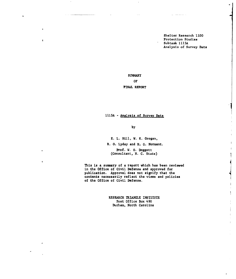Shelter Research **1100** Protection Studies Subtask **1115A** Analysis of Survey Data

**SUMMARY OF**

 $\mathbf{I}$ 

# **FINAL** REPORT

# **1115A** - Analysis of Survey Data

**by**

**E.** L. Hill, W. K. Grogan,

R. **0.** Lyday and H. **G.** Norment.

Prof. W. **0.** Doggett (Consultant, N. C. State)

This is a summary of a report which has been reviewed in the Office of Civil Defense and approved for publication. Approval does not signify that the contents necessarily reflect the views and policies **of the Office of Civil** Defense.

> RESEARCH TRIANGLE INSTITUTE Post Office Box 490 Durham, North Carolina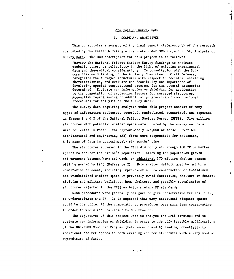### Analysis of Survey Data

# I. **SCOPE AND OBJECTIVES**

This constitutes a summary of the final report (Reference **1)** of the research completed by the Research Triangle institute under **OCD** Project **1l15A,** Analysis of Survey Data. The **OCD** description for this project is as follows:

'Review the National Fallout Shelter Survey findings to estimate probable error, or reliability in the light of existing experimental data and theoretical considerations. In consultation with the Subcommittee on Shielding of the Advisory Committee on Civil Defense, categorize the surveyed structures with respect to technical shielding cheracteristics, and evaluate the feasibility and importance of developing special computational programs for the several categories determined. Evaluate new information on shielding for application to the computation of protection factors for surveyed structures. Accomplish reprogramming or additional programming of computational procedures for analysis of the survey data."

The survey data requiring analysis under this project consist of many types of information collected, recorded, manipulated, summarized, and reported in Phases **I** and 2 of the National Fallout Shelter Survey **(NFSS).** Five million structures with potential shelter space were covered by the survey and data were collected in Phase I for approximately **375,000** of these. Over 600 architectural and engineering **(AE)** firms were responsible for collecting this mass of data in approximately six months' time.

The structures surveyed in the **NFSS** did not yield enough **100** PF or better spaces to shelter the nation's population. Allowing for population growth and movement between home and work, an additional **170** million shelter spaces will be needed **by** 1968 (Reference 2). This shelter deficit must be met **by** a combination of means, including improvement or new construction of subsidized and unsubsidized shelter space in privately owned facilities, shelters in federal civilian and military buildings, home shelters, and possibly reevaluation of structures rejected in the **NFSS** as below minimum PF standards.

**NFSS** procedures were generally designed to give conservative results, i.e., to underestimate the PF. It is expected that many additional adequate spaces could be identified if the computational procedures were made less conservative in order to yield results closer to the true PF.

The objectives of this project were to analyze the NFSS findings and to evaluate new information on shielding in order to identify feasible modifications of the NBS-NFSS Computer Program (References 3 and 4) leading potentially to additional shelter spaces in both existing and new structures with a very nominal expenditure of funds.

 $-1$  -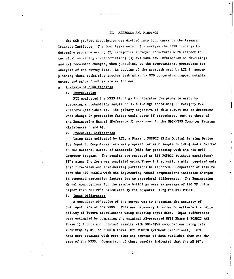# II. APPROACH AND FINDINGS

The **OCD** project description was divided into four tasks by the Research Triangle Institute. The four tasks were: **(1)** analyze the NFSS findings to determine probable error; (2) categorize surveyed structures with respect to technical shielding characteristics; **(3)** evaluate new information on shielding; and (4) recommend changes, when justified, to the computational procedures for analysis of the survey data. An outline of the approach used by RTI in accomplishing these tasks, plus another task added **by OCD** concerning trapped potable water, and major findings are as follows:

# **A.** Analysis of **NFSS** findings

**i.** Introduction

RTI evaluated the **NFSS** findings to determine the probable error **by** surveying a probability sample of **33** buildings containing PF Category 2-4 shelters (see Table **I).** The primary objective of this survey was to determine what change in protection factor would occur if procedures, such as those of the Engineering Manual (Reference **5)** were used in the **NBS-NFSS** Computer Program (References **3** and 4).

# 2. Procedural Differences

Using data collected **by** RTI, a Phase 1 **FOSDIC** (Film Optical Sensing Device for Input to Computers) form was prepared for each sample building and submitted to the National Bureau of Standards **(NBS)** for processing with the **NBS-NESS** Computer Program. The results are reported as RTI FOSDIC (without partitions) PF's since the form was completed using Phase I instructions which required only that fire-break and load-bearing partitions be reported. Comparison of results from the RTI FOSDIC with the Engineering Manual computations indicates changes in **computed** protection **factors due to procedural differences. The Engineering** Manual computations for the sample buildings were an average of **110** PF units higher than the PF's calculated **by** the computer using the RTI FOSDIC.

### **3.** Input Differences

A secondary objective of the survey was to determine the accuracy of the input data of the **NFSS.** This was necessary in order to estimate the reliability of 'future calculations using existing input data. Input differences were estimated **by** comparing the original AE-prepared **N\$SS** Phase **1 FOSDIC (AS** Phase **1)** inputs and printout results with **NBS-NFSS** computations using data submittqd **by** RTI on **FOSDIC** forms, [RTI **FOSDIG** (without partitions)]. RTI data were obtained with more time and sources of data available than was the case of the **NFSS.** Comparison of these results indicated that the **AZ** PF's

-2-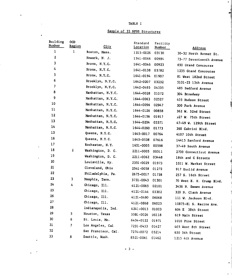TABLE I

 $\overline{\phantom{a}}$ 

y.

 $\mathbf{A}$ 

 $\ddot{\phantom{a}}$ 

 $\Delta$  $\mathbf{r}$ 

# Sample of **33 NFSS** Structures

| Building<br>Number | <b>OCD</b><br>Region | City                | Standard        | Facility |                           |
|--------------------|----------------------|---------------------|-----------------|----------|---------------------------|
| $\mathbf{1}$       | $\mathbf{I}$         | Boston, Mass.       | <b>Location</b> | Number   | Address                   |
| $\overline{2}$     |                      | Newark, N. J.       | 1315-0026       | 03130    | 30-32 North Bennet St.    |
| 3                  |                      | Bronx, N.Y.C.       | 1541-0066       | 00984    | 73-77 Seventeenth Avenue  |
| 4                  |                      |                     | 1641-0046       | 00923    | 650 Grand Concourse       |
| 5                  |                      | Bronx, N.Y.C.       | 1641-0138       | 03782    | 1235 Grand Concourse      |
| 6                  |                      | Bronx, N.Y.C.       | 1641-0194       | 01907    | 81 West 182nd Street      |
| 7                  |                      | Brooklyn, N.Y.C.    | 1642-0207       | 03232    | 5101-23 13th Avenue       |
| 8                  |                      | Brooklyn, N.Y.C.    | 1642-0495       | 04335    | 485 Bedford Avenue        |
| 9                  |                      | Manhattan, N.Y.C.   | 1644-0028       | 01072    | 304 Broadway              |
|                    |                      | Manhattan, N.Y.C.   | 1644-0063       | 02527    | 435 Hudson Street         |
| 10                 |                      | Manhattan, N.Y.C.   | 1644-0096       | 02947    | 300 Park Avenue           |
| 11                 |                      | Manhattan, N.Y.C.   | 1644-0126       | 00858    | 362 W. 52nd Street        |
| 12                 |                      | Manhattan, N.Y.C.   | 1644-0156       | 01917    | 327 W. 75th Street        |
| 13                 |                      | Manhattan, N.Y.C.   | 1644-0204       | 03371    | 47-49 W. 129th Street     |
| 14                 |                      | Manhattan, N.Y.C.   | 1644-0260       | 01773    | 360 Cabrini Blvd.         |
| 15                 |                      | Queens, N.Y.C.      | 1645-0017       | 00764    | 4107 10th Street          |
| 16                 |                      | Queens, N.Y.C.      | 1645-0538       | 07616    | 14415 Sanford Avenue      |
| 17                 |                      | Rochester, N.Y.     | 1651-0005       | 00598    | 37-49 South Avenue        |
| 18                 | $\overline{2}$       | Washington, D. C.   | 2211-0005       | 00511    | 2700 Connecticut Avenue   |
| 19                 |                      | Washington, D. C.   | 2211-0062       | 03448    | 18th and C Streets        |
| ${\bf 20}$         |                      | Louisville, Ky.     | 2351-0029       | 01973    | 1011 W. Market Street     |
| 21                 |                      | Cleveland, Ohio     | 2541-0058       | 01272    | 917 Euclid Avenue         |
| 22                 |                      | Philadelphia, Pa.   | 2675-0017       | 01738    | 257 S. 16th Street        |
| 23                 | 3                    | Memphis, Tenn.      | 3731-0043       | 01301    | 70 West E. H. Crump Blvd. |
| 24                 | 4                    | Chicago, Ill.       | 4121-0065       | 02101    | 3456 N. Damen Avenue      |
| 25                 |                      | Chicago, Ill.       | 4121-0144       | 03302    | 320 N. Clark Avenue       |
| 26                 |                      | Chicago, Ill.       | 4121-0490       | 06068    | 111 W. Jackson Blvd.      |
| 27                 |                      | Chicago, Ill.       | 4121-0868       | 06023    | 10875-81 S. Racine Ave.   |
| 28                 |                      | Indianapolis, Ind.  | 4241-0013       | 01003    | 604 E 38th Street         |
| 29                 | 5.                   | Houston, Texas      | 55B1-0026       | 06118    | 619 Main Street           |
| 30                 | 6                    | St. Louis, Mo.      | 6434-0122       | 01971    | 1010 Pine Street          |
| 31                 | 7                    | Los Angeles, Cal.   | 7231-0453       | 01427    | 403 West 8th Street       |
| 32                 |                      | San Francisco, Cal. | 7274-0072       | 05214    | 650 5th Street            |
| 33                 | 8                    | Seattle, Wash.      | 8521-0061       | 01462    | al 215 4th Avenue         |

-3-

 $\overline{a}$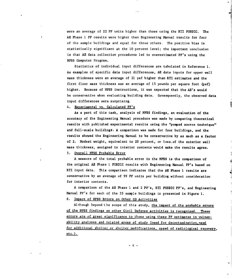were an average of 22 PF units higher than those using the RTI FOSDIC. The **AE** Phase **I** PF results were higher than Engineering Manual results for four of the sample buildings and equal for three others. The positive bias is statistically significant at the **10** percent level; the important conclusion is that **AE** data collection procedures led to overestimated PF's using the NFSS Computer Program.

Statistics of individual input differences are tabulated in Reference **1.** As examples of specific data input differences, AE data inputs for upper wall mass thickness were an average of 21 psf higher than RTI estimates and the first floor mass thickness was an average of **15** pounds per square foot (psf) higher. Because of NFSS instructions, it was expected that the AE's would be conservative when evaluating building data. Consequently, the observed data input differences were surprising.

# 4. Experimental vs. Calculated PF's

As a part of this task, analysis of **NFSS** findings, an evaluation of the accuracy of the Engineering Manual procedure was made by comparing theoretical results with published experimental results using the "pumped source technique" and full-scale buildings. **A** comparison was made for four buildings, and the results showed the Engineering Manual to be conservative **by** as much as a factor of 2. Modest weight, equivalent to 20 percent, or less.of the exterior wall mass thickness, assigned to interior contents would make the results agree.

# **5.** Overall **NFSS** Probable Error

**A** measure of the total probable error in the **NFSS** is the comparison of the original **AE** Phase **I FOSDIC** results with Engineering Manual PF's based on RTI input data. This comparison indicates that the AE Phase **1** results are conservative **by** an average of **99** PF units per building without consideration for interior contents.

A comparison of the AE Phase **1** and 2 PF's, **RTI** FOSDIC PF's, and Engineering Manual PF's for each of the **33** sample buildings is presented in Figure **1.**

# **6.** Impact of **NFSS** Errors on Other **CD** Activities

Although beyond the scope of this study, the impact of the probable errors of the **NFSS** findings on other Civil Defense activities is recognized. These errors are of great significance to those using these PF estimates in vulnerability analyses and related areas of study (need for decontamination, need for additional shelter or shelter modifications, speed of radiological recovery, etc.).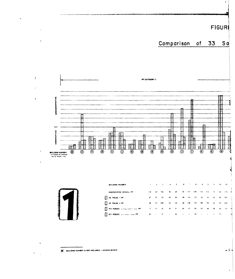FIGUR

 $S<sub>a</sub>$ 

 $33$ 

Comparison of





 $\ddot{\phantom{1}}$ 

 $\overline{1}$ 

 $\ddot{\cdot}$ 

 $\overline{1}$ 

 $\hat{\boldsymbol{\cdot} }$ 

| <b>BUILDING NUMBER</b>                       | <b>All Control</b> |        |                 | $\mathbf{z} = \mathbf{z} - \mathbf{z} - \mathbf{s} - \mathbf{s} - \mathbf{z} - \mathbf{z} - \mathbf{s} - \mathbf{z} - \mathbf{z} - \mathbf{z}$ |                 |                          |              |                          |    |                       |                          |
|----------------------------------------------|--------------------|--------|-----------------|------------------------------------------------------------------------------------------------------------------------------------------------|-----------------|--------------------------|--------------|--------------------------|----|-----------------------|--------------------------|
| ENGINEERING MANUAL PF                        |                    |        | 116 89 164      |                                                                                                                                                | 44 45           |                          |              |                          |    | 45 147 178 118 175 19 |                          |
| <b>AE PHASE 1 PF</b>                         |                    | 67 50  | 53 <sub>1</sub> | $\sim$ 0.0                                                                                                                                     | 53 <sub>1</sub> |                          | 48 940 15    |                          |    | $42 - 53 - 42$        |                          |
| $\Box$ AE PHASE 2 PF                         | 56.                | 54.00  | 190             | $+50-$                                                                                                                                         | 190 - 191       | $\boldsymbol{\mu}$       |              |                          |    | 200 123 194 100       | $\overline{1}$           |
| <b>EN RTI FOSDIC LECTURE PART 1 STATE PF</b> |                    | 77. 11 | $\mathbf{a}$    |                                                                                                                                                | $45 - 25$       | $\omega$                 | $\sim 0.4$ . | $\overline{\phantom{0}}$ | 53 | 44                    | $\overline{\phantom{a}}$ |
| <b>RELEASED CONSULTAINT PE</b>               | $\blacksquare$     | $\sim$ | $\mathbf{F}$    | $\sim 100$                                                                                                                                     | 23              | $\overline{\phantom{a}}$ | -            | $-12$                    |    |                       |                          |

232  $1 - 1$ 

> $\Omega$ -250  $\mathcal{L}(\cdot)$  $\ddot{\mathbf{u}}$

 $\boldsymbol{\Omega}$ \$)  $\overline{\mathbf{z}}$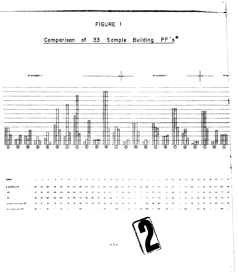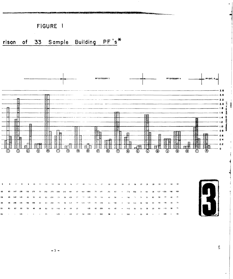

 $\frac{p}{m}$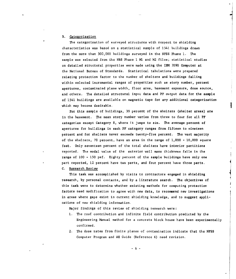# B. Categorization

The categorization of surveyed structures with respect to shielding characteristics was based on a statistical sample of 1541 buildings drawn from the more than 300,000 buildings surveyed in the NFSS Phase **1.** The sample was selected from the NBS Phase i Ml and M2 files; statistical studies on detailed structural properties were made using the IBM 7090 Computer at the National Bureau of Standards. Statistical tabulations were prepared relating protection factor to the number of shelters and buildings falling within selected incremental ranges of properties such as story number, percent apertures, contaminated plane width, floor area, basement exposure, dose source, and others. The detailed structural input data and PF output data for the sample of 1541 buildings are available on magnetic tape for any additional categorization which may become desirable.

For this sample of buildings, 39 percent of the shelters (shelter areas) are in the basement. The mean story number varies from three to four for all PF categories except Category 8, where it jumps to six. The average percent of apertures for buildings in each PF category ranges from fifteen to nineteen percent and for shelters never exceeds twenty-five percent. The vast majority of the shelters, **78** percent, have an area in the range of 1,000 - 10,000 square feet. Only seventeen percent of the total shelters have interior partitions reported. The modal value of the exterior wall mass thickness falls in the range of **100** - 150 psf. Eighty percent of the sample buildings have only one part reported, 12 percent have two parts, and four percent have three parts.

C. Research Review

This task was accomplished by visits to contractors engaged in shielding research, by personal contacts, and by a literature search. The objectives of this task were to determine whether existing methods for computing protection factors need modification to agree with new data, to recommend new investigations in areas where gaps exist in current shielding knowledge, and to suggest applications of new shielding information.

Major findings of this review of shielding research were:

- I. The roof contribution and infinite field contribution predicted by the Engineering Manual method for a concrete block house have been experimentally confirmed.
- 2. The dose rates from finite planes of contamination indicate that the NFSS Computer Program and AE Guide (Reference 6) need revision.

-6-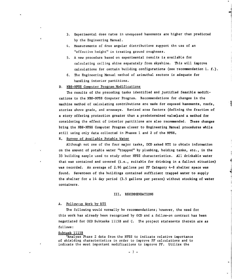- 3. Experimental dose rates in unexposed basements are higher than predicted by the Engineering Manual.
- 4. Measurements of dose angular distributions support the use of an "effective height" in treating ground roughness.
- 5. A new procedure based on experimental results is available for calculating ceiling shine separately from skyshine. This will improve calculations for certain building configurations (see recommendation **i. f.).**
- 6. The Engineering Manual method of azimuthal sectors is adequate for handling interior partitions.

# D. NBS-NFSS Computer Program Modifications

The results of the preceding tasks identified and justified feasible modifications to the NBS-NFSS Computer Program. Recommendations for changes in the machine method of calculating contributions are made for exposed basements, roofs, stories above grade, and areaways. Revised area factors (defining the fraction of a story offering protection greater than a predetermined valueland a method for considering the effect of interior partitions are also recommended. These changes bring the NBS-NFSS Computer Program closer to Engineering Manual procedures while still using only data collected in Phases **I** and 2 of the NFSS.

**E.** Survey of Available Potable Water

Although not one of the four major tasks, **OCD** asked RTI to obtain information on the amount of potable water "trapped" by plumbing, holding tanks, etc., in the **<sup>33</sup>**building sample used to study other NFSS characteristics. All drinkable water that was contained and covered (i.e., suitable for drinking in a fallout situation) was recorded. An average of 2.96 gallons per PF Category 4-8 shelter space was found. Seventeen of the buildings contained sufficient trapped water to supply the shelter for a 14 day period **(3.5** gallons per person) without stocking of water containers.

#### III. RECO1MENDATIONS

#### **A.** Follow-up Work **by** RTI

The following would normally be recommendations; however, the need for this work has already been recognized **by OCD** and a follow-on contract has been negotiated for **OCD** Subtasks 1115B and **C.** The project statements therein are as follows:

# Subtask 1115B

"Analyze Phase 2 data from the NFSS to indicate relative importance of shielding characteristics in order to improve PF calculations and to indicate the most important modifications to improve PF. Utilize the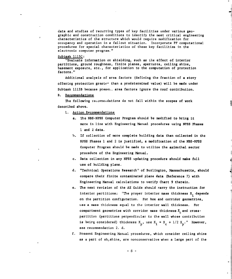data and studies of recurring types of key facilities under various geographic and construction conditions to identify the most critical engineering characteristics of the structure which would require modification for occupancy and operation in a fallout situation. Incorporate PF computational procedures for special characteristics of these key facilities in the electronic computer program."

#### Subtask **1115C:**

"Evaluate information on shielding, such as Lhe effect of interior partitions, ground roughness, finite planes, apertures, ceiling shine, basement exposure, etc., for application to the computation of protection factors."

Additional analysis of area factors (defining the fraction of a story offering protection greater than a predetermined value) will be made under Subtask 1115B because preset.. area factors ignore the roof contribution.

#### B. Recommendations

The following recommendations do not fall within the scopes of work described above.

- **1.** Action Recommendations
	- a. The NBS-NFSS Computer Program should be modified to bring it more in line with Engineering Manual procedures using **N2SS** Phases **I** and 2 data.
	- h. If collection of more complete building data than collected in the **NFSS** Phases **1** and 2 is justified, a modification of the NBS-NFSS Computer Program should be made to utilize the azimuthal sector procedure of the Engineering Manual.
	- c. Data collection in any NFSS updating procedure should make full use of building plans.
	- d. "Technical Operations Research" of Burlington, Massachusetts, should compare their finite contaminated plane data (Reference **7) with** Engineering Manual calculations to verify Chart 9 therein.
	- e. The next revision of the **AE** Guide should carry the instruction for interior partitions: "The proper interior mass thickness  $X_{\frac{1}{2}}$  depends on the partition configuration. For box and corridor geometries, use a mass thickness equal to the interior wall thickness. For compartment geometries with corridor mass thickness  $X_c$  and crosspartition (partitions perpendicular to the wall whose contribution is being considered) thickness  $X_p$ , use  $X_i = X_c + 1/2 X_p$ ." However, see recommendation 2. d.
	- **f.** Present Engineering Manual procedures, which consider ceiling shine as a part of skyshine, are nonconservative when a large part of the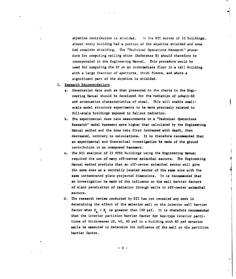skyshine contribution is shielded. **In** the RTI survey of **33** buildings, almost every building had a portion of the skyshine shielded and some had complete shielding. The "Technical Operations Research" procedure for computing ceiling shine (Reference **8)** should therefore be incorporated in the Engineering Manual. This procedure would be used for computing the PF on an intermediate floor in a tall building with a large fraction of apertures, thick floors, and where a significant part of the skyshine is shielded.

- 2. Research Recommendations
	- **a.** Penetration data such as that presented in the charts in the Engineering Manual should be developed for the radiation of cobalt-60 and attenuation characteristics of steel. This will enable smallscale model structure experiments to be more precisely related to full-scale buildings exposed to fallout radiation.
	- b. The experimental dose rate measurements in a "Technical Operations Research" model basement were higher than calculated by the Engineering Manual method and the dose rate first increased with depth, then decreased, contrary to calculations. It is therefore recomnended that an experimental and theoretical investigation be made **of** the ground contribution to an unexposed basement.
	- c. The RTI analysis of **33 NFSS** buildings using the Engineering Manual required the use of many off-center **azimuthal** sectors. The Engineering Manual method predicts that an off-center azimuthal sector will give the same dose as a centrally located sector **of** the same size with the same contaminated plane projected dimensions. It is recomended that an investigation be made of **the** influence on the wall barrier factors of slant penetiation of radiation through walls in off-center azimuthal sectors.
	- **d.** The research review conducted by RTI has not revealed any work in determining the effect of the exterior wall on the interior wall barrier factor when  $X_{\alpha} + X_{\gamma}$  is greater than 100 psf. It is therefore recommended that the interior partition barrier factor for box-type interior partitions of thicknesses 20, 40, 60 **psf** in a building with **80** psf exterior **walls** be measured to determine the influence of the **wall** on the partition barrier factor.

**-9-**